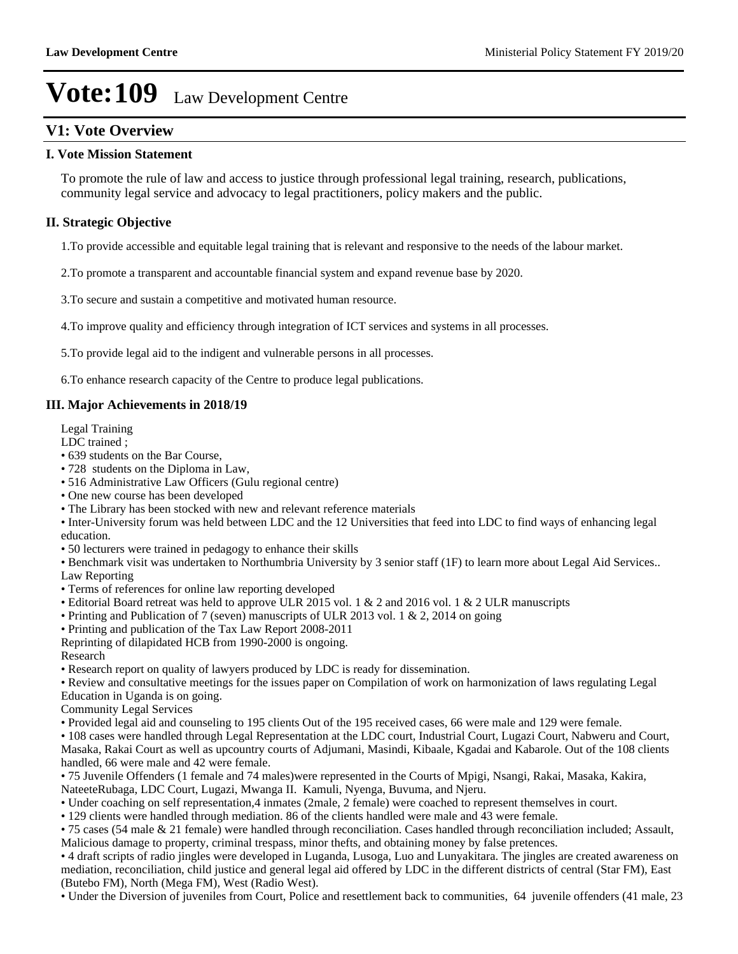### **V1: Vote Overview**

### **I. Vote Mission Statement**

To promote the rule of law and access to justice through professional legal training, research, publications, community legal service and advocacy to legal practitioners, policy makers and the public.

### **II. Strategic Objective**

1.To provide accessible and equitable legal training that is relevant and responsive to the needs of the labour market.

2.To promote a transparent and accountable financial system and expand revenue base by 2020.

3.To secure and sustain a competitive and motivated human resource.

4.To improve quality and efficiency through integration of ICT services and systems in all processes.

5.To provide legal aid to the indigent and vulnerable persons in all processes.

6.To enhance research capacity of the Centre to produce legal publications.

### **III. Major Achievements in 2018/19**

Legal Training

LDC trained ;

- 639 students on the Bar Course,
- 728 students on the Diploma in Law,
- 516 Administrative Law Officers (Gulu regional centre)
- One new course has been developed
- The Library has been stocked with new and relevant reference materials

Inter-University forum was held between LDC and the 12 Universities that feed into LDC to find ways of enhancing legal education.

50 lecturers were trained in pedagogy to enhance their skills

Benchmark visit was undertaken to Northumbria University by 3 senior staff (1F) to learn more about Legal Aid Services.. Law Reporting

- Terms of references for online law reporting developed
- Editorial Board retreat was held to approve ULR 2015 vol. 1 & 2 and 2016 vol. 1 & 2 ULR manuscripts
- Printing and Publication of 7 (seven) manuscripts of ULR 2013 vol. 1 & 2, 2014 on going
- Printing and publication of the Tax Law Report 2008-2011
- Reprinting of dilapidated HCB from 1990-2000 is ongoing.

Research

Research report on quality of lawyers produced by LDC is ready for dissemination.

Review and consultative meetings for the issues paper on Compilation of work on harmonization of laws regulating Legal Education in Uganda is on going.

Community Legal Services

Provided legal aid and counseling to 195 clients Out of the 195 received cases, 66 were male and 129 were female.

108 cases were handled through Legal Representation at the LDC court, Industrial Court, Lugazi Court, Nabweru and Court, Masaka, Rakai Court as well as upcountry courts of Adjumani, Masindi, Kibaale, Kgadai and Kabarole. Out of the 108 clients handled, 66 were male and 42 were female.

75 Juvenile Offenders (1 female and 74 males)were represented in the Courts of Mpigi, Nsangi, Rakai, Masaka, Kakira, NateeteRubaga, LDC Court, Lugazi, Mwanga II. Kamuli, Nyenga, Buvuma, and Njeru.

Under coaching on self representation,4 inmates (2male, 2 female) were coached to represent themselves in court.

129 clients were handled through mediation. 86 of the clients handled were male and 43 were female.

75 cases (54 male & 21 female) were handled through reconciliation. Cases handled through reconciliation included; Assault, Malicious damage to property, criminal trespass, minor thefts, and obtaining money by false pretences.

4 draft scripts of radio jingles were developed in Luganda, Lusoga, Luo and Lunyakitara. The jingles are created awareness on mediation, reconciliation, child justice and general legal aid offered by LDC in the different districts of central (Star FM), East (Butebo FM), North (Mega FM), West (Radio West).

Under the Diversion of juveniles from Court, Police and resettlement back to communities, 64 juvenile offenders (41 male, 23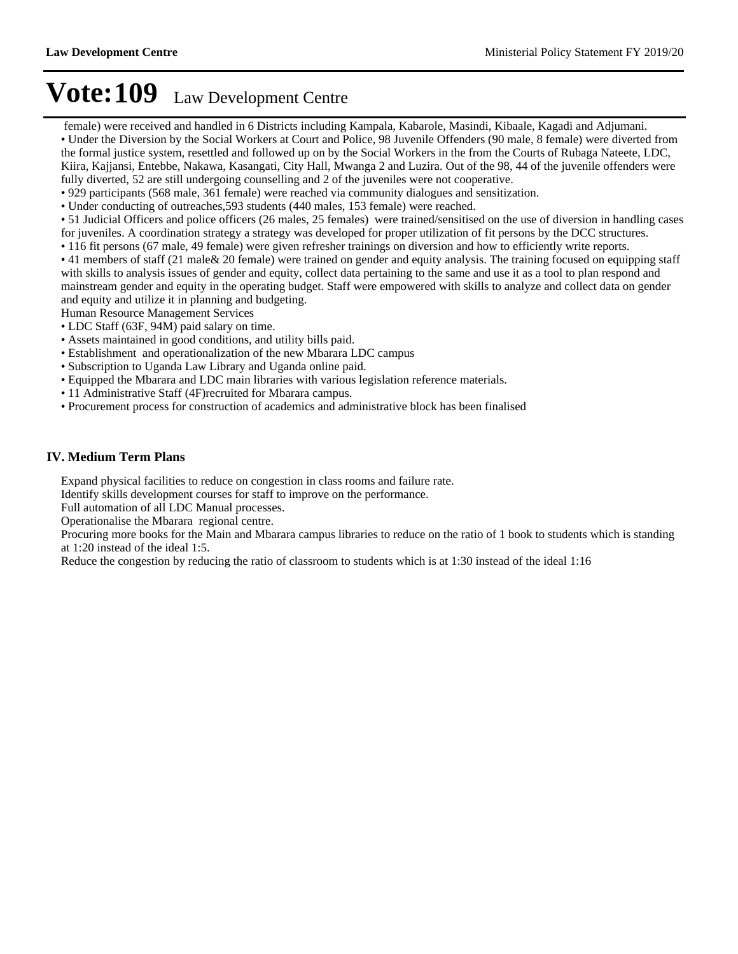female) were received and handled in 6 Districts including Kampala, Kabarole, Masindi, Kibaale, Kagadi and Adjumani. Under the Diversion by the Social Workers at Court and Police, 98 Juvenile Offenders (90 male, 8 female) were diverted from the formal justice system, resettled and followed up on by the Social Workers in the from the Courts of Rubaga Nateete, LDC, Kiira, Kajjansi, Entebbe, Nakawa, Kasangati, City Hall, Mwanga 2 and Luzira. Out of the 98, 44 of the juvenile offenders were fully diverted, 52 are still undergoing counselling and 2 of the juveniles were not cooperative.

929 participants (568 male, 361 female) were reached via community dialogues and sensitization.

Under conducting of outreaches,593 students (440 males, 153 female) were reached.

- 51 Judicial Officers and police officers (26 males, 25 females) were trained/sensitised on the use of diversion in handling cases for juveniles. A coordination strategy a strategy was developed for proper utilization of fit persons by the DCC structures.
- 116 fit persons (67 male, 49 female) were given refresher trainings on diversion and how to efficiently write reports.

41 members of staff (21 male& 20 female) were trained on gender and equity analysis. The training focused on equipping staff with skills to analysis issues of gender and equity, collect data pertaining to the same and use it as a tool to plan respond and mainstream gender and equity in the operating budget. Staff were empowered with skills to analyze and collect data on gender and equity and utilize it in planning and budgeting.

Human Resource Management Services

- LDC Staff (63F, 94M) paid salary on time.
- Assets maintained in good conditions, and utility bills paid.
- Establishment and operationalization of the new Mbarara LDC campus
- Subscription to Uganda Law Library and Uganda online paid.
- Equipped the Mbarara and LDC main libraries with various legislation reference materials.
- 11 Administrative Staff (4F)recruited for Mbarara campus.
- Procurement process for construction of academics and administrative block has been finalised

### **IV. Medium Term Plans**

Expand physical facilities to reduce on congestion in class rooms and failure rate.

Identify skills development courses for staff to improve on the performance.

Full automation of all LDC Manual processes.

Operationalise the Mbarara regional centre.

Procuring more books for the Main and Mbarara campus libraries to reduce on the ratio of 1 book to students which is standing at 1:20 instead of the ideal 1:5.

Reduce the congestion by reducing the ratio of classroom to students which is at 1:30 instead of the ideal 1:16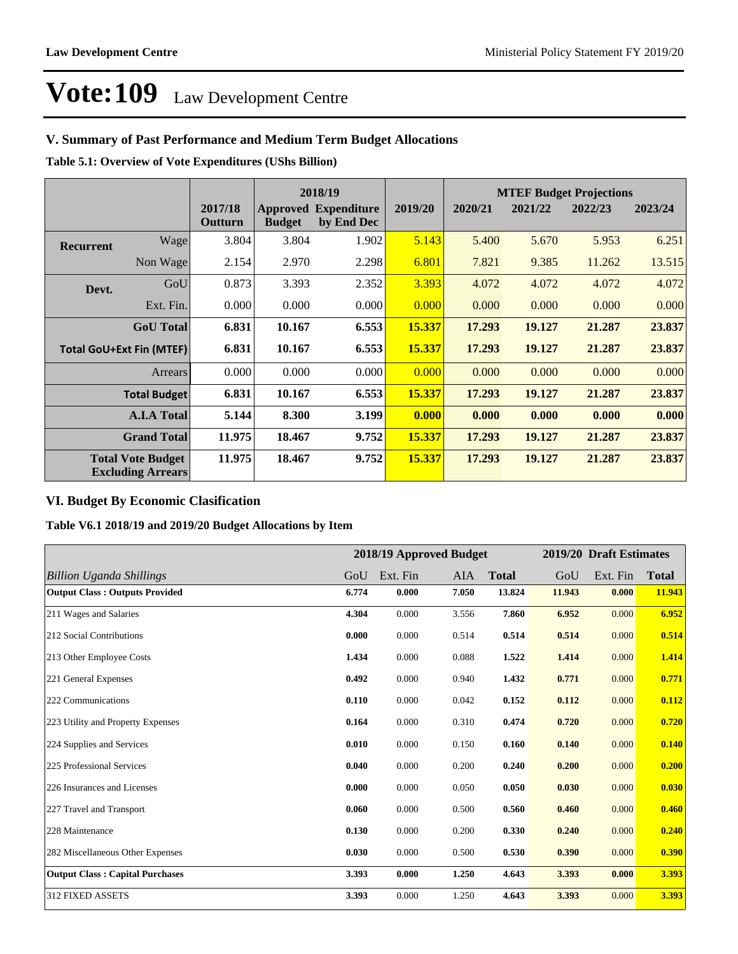### **V. Summary of Past Performance and Medium Term Budget Allocations**

**Table 5.1: Overview of Vote Expenditures (UShs Billion)**

|                                 |                                                      |                    |               | 2018/19                                   |               | <b>MTEF Budget Projections</b> |         |         |         |
|---------------------------------|------------------------------------------------------|--------------------|---------------|-------------------------------------------|---------------|--------------------------------|---------|---------|---------|
|                                 |                                                      | 2017/18<br>Outturn | <b>Budget</b> | <b>Approved Expenditure</b><br>by End Dec | 2019/20       | 2020/21                        | 2021/22 | 2022/23 | 2023/24 |
| <b>Recurrent</b>                | Wage                                                 | 3.804              | 3.804         | 1.902                                     | 5.143         | 5.400                          | 5.670   | 5.953   | 6.251   |
|                                 | Non Wage                                             | 2.154              | 2.970         | 2.298                                     | 6.801         | 7.821                          | 9.385   | 11.262  | 13.515  |
| Devt.                           | GoU                                                  | 0.873              | 3.393         | 2.352                                     | 3.393         | 4.072                          | 4.072   | 4.072   | 4.072   |
|                                 | Ext. Fin.                                            | 0.000              | 0.000         | 0.000                                     | 0.000         | 0.000                          | 0.000   | 0.000   | 0.000   |
|                                 | <b>GoU</b> Total                                     | 6.831              | 10.167        | 6.553                                     | 15.337        | 17.293                         | 19.127  | 21.287  | 23.837  |
| <b>Total GoU+Ext Fin (MTEF)</b> |                                                      | 6.831              | 10.167        | 6.553                                     | <b>15.337</b> | 17.293                         | 19.127  | 21.287  | 23.837  |
|                                 | <b>Arrears</b>                                       | 0.000              | 0.000         | 0.000                                     | 0.000         | 0.000                          | 0.000   | 0.000   | 0.000   |
|                                 | <b>Total Budget</b>                                  | 6.831              | 10.167        | 6.553                                     | 15.337        | 17.293                         | 19.127  | 21.287  | 23.837  |
|                                 | <b>A.I.A Total</b>                                   | 5.144              | 8.300         | 3.199                                     | 0.000         | 0.000                          | 0.000   | 0.000   | 0.000   |
|                                 | <b>Grand Total</b>                                   | 11.975             | 18.467        | 9.752                                     | 15.337        | 17.293                         | 19.127  | 21.287  | 23.837  |
|                                 | <b>Total Vote Budget</b><br><b>Excluding Arrears</b> | 11.975             | 18.467        | 9.752                                     | 15.337        | 17.293                         | 19.127  | 21.287  | 23.837  |

### **VI. Budget By Economic Clasification**

**Table V6.1 2018/19 and 2019/20 Budget Allocations by Item**

|                                        | 2018/19 Approved Budget |          |       |              | 2019/20 Draft Estimates |          |              |
|----------------------------------------|-------------------------|----------|-------|--------------|-------------------------|----------|--------------|
| <b>Billion Uganda Shillings</b>        | GoU                     | Ext. Fin | AIA   | <b>Total</b> | GoU                     | Ext. Fin | <b>Total</b> |
| <b>Output Class: Outputs Provided</b>  | 6.774                   | 0.000    | 7.050 | 13.824       | 11.943                  | 0.000    | 11.943       |
| 211 Wages and Salaries                 | 4.304                   | 0.000    | 3.556 | 7.860        | 6.952                   | 0.000    | 6.952        |
| 212 Social Contributions               | 0.000                   | 0.000    | 0.514 | 0.514        | 0.514                   | 0.000    | 0.514        |
| 213 Other Employee Costs               | 1.434                   | 0.000    | 0.088 | 1.522        | 1.414                   | 0.000    | 1.414        |
| 221 General Expenses                   | 0.492                   | 0.000    | 0.940 | 1.432        | 0.771                   | 0.000    | 0.771        |
| 222 Communications                     | 0.110                   | 0.000    | 0.042 | 0.152        | 0.112                   | 0.000    | 0.112        |
| 223 Utility and Property Expenses      | 0.164                   | 0.000    | 0.310 | 0.474        | 0.720                   | 0.000    | 0.720        |
| 224 Supplies and Services              | 0.010                   | 0.000    | 0.150 | 0.160        | 0.140                   | 0.000    | 0.140        |
| 225 Professional Services              | 0.040                   | 0.000    | 0.200 | 0.240        | 0.200                   | 0.000    | 0.200        |
| 226 Insurances and Licenses            | 0.000                   | 0.000    | 0.050 | 0.050        | 0.030                   | 0.000    | 0.030        |
| 227 Travel and Transport               | 0.060                   | 0.000    | 0.500 | 0.560        | 0.460                   | 0.000    | 0.460        |
| 228 Maintenance                        | 0.130                   | 0.000    | 0.200 | 0.330        | 0.240                   | 0.000    | 0.240        |
| 282 Miscellaneous Other Expenses       | 0.030                   | 0.000    | 0.500 | 0.530        | 0.390                   | 0.000    | 0.390        |
| <b>Output Class: Capital Purchases</b> | 3.393                   | 0.000    | 1.250 | 4.643        | 3.393                   | 0.000    | 3.393        |
| 312 FIXED ASSETS                       | 3.393                   | 0.000    | 1.250 | 4.643        | 3.393                   | 0.000    | 3.393        |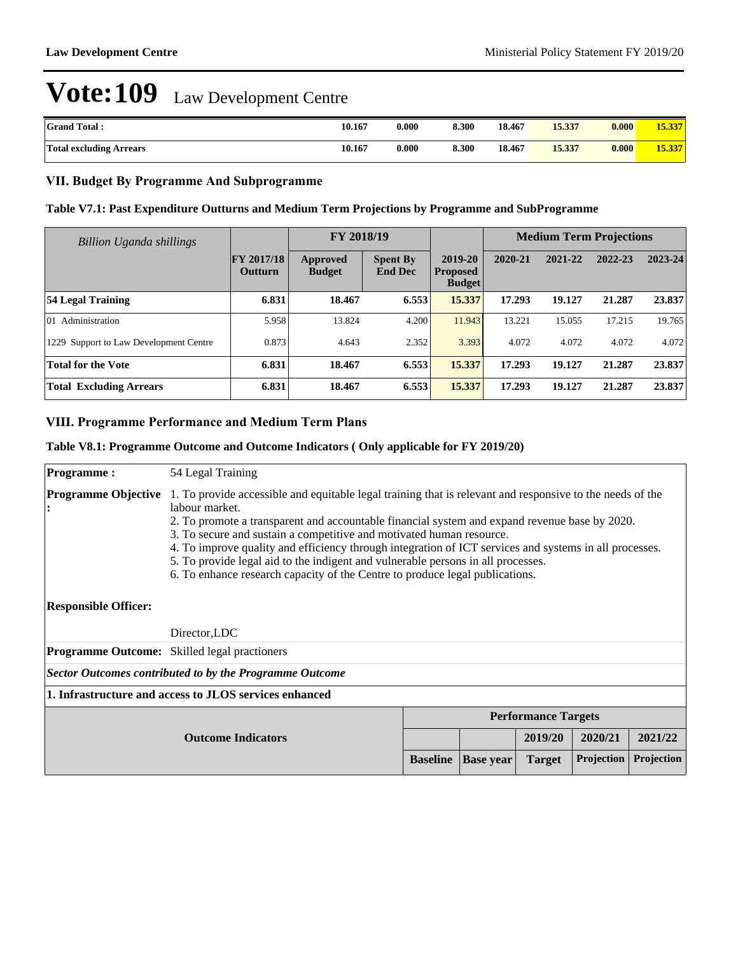| <b>Grand Total:</b>            | 10.167 | 0.000 | 8.300 | 18.467 | 15.337 | 0.000 | 15.337 |
|--------------------------------|--------|-------|-------|--------|--------|-------|--------|
| <b>Total excluding Arrears</b> | 10.167 | 0.000 | 8.300 | 18.467 | 15.337 | 0.000 | 15.337 |

### **VII. Budget By Programme And Subprogramme**

### **Table V7.1: Past Expenditure Outturns and Medium Term Projections by Programme and SubProgramme**

| Billion Uganda shillings               |                              | FY 2018/19                |                                   |                                             | <b>Medium Term Projections</b> |         |         |         |
|----------------------------------------|------------------------------|---------------------------|-----------------------------------|---------------------------------------------|--------------------------------|---------|---------|---------|
|                                        | <b>FY 2017/18</b><br>Outturn | Approved<br><b>Budget</b> | <b>Spent By</b><br><b>End Dec</b> | 2019-20<br><b>Proposed</b><br><b>Budget</b> | 2020-21                        | 2021-22 | 2022-23 | 2023-24 |
| 54 Legal Training                      | 6.831                        | 18.467                    | 6.553                             | 15.337                                      | 17.293                         | 19.127  | 21.287  | 23.837  |
| Administration<br>101                  | 5.958                        | 13.824                    | 4.200                             | 11.943                                      | 13.221                         | 15.055  | 17.215  | 19.765  |
| 1229 Support to Law Development Centre | 0.873                        | 4.643                     | 2.352                             | 3.393                                       | 4.072                          | 4.072   | 4.072   | 4.072   |
| <b>Total for the Vote</b>              | 6.831                        | 18.467                    | 6.553                             | 15.337                                      | 17.293                         | 19.127  | 21.287  | 23.837  |
| <b>Total Excluding Arrears</b>         | 6.831                        | 18.467                    | 6.553                             | 15.337                                      | 17.293                         | 19.127  | 21.287  | 23.837  |

### **VIII. Programme Performance and Medium Term Plans**

### **Table V8.1: Programme Outcome and Outcome Indicators ( Only applicable for FY 2019/20)**

| <b>Programme:</b>           | 54 Legal Training                                                                                                                                                                                                                                                                                                                                                                                                                                                                                                                                                                  |                  |               |            |            |         |  |  |  |
|-----------------------------|------------------------------------------------------------------------------------------------------------------------------------------------------------------------------------------------------------------------------------------------------------------------------------------------------------------------------------------------------------------------------------------------------------------------------------------------------------------------------------------------------------------------------------------------------------------------------------|------------------|---------------|------------|------------|---------|--|--|--|
| <b>Programme Objective</b>  | 1. To provide accessible and equitable legal training that is relevant and responsive to the needs of the<br>labour market.<br>2. To promote a transparent and accountable financial system and expand revenue base by 2020.<br>3. To secure and sustain a competitive and motivated human resource.<br>4. To improve quality and efficiency through integration of ICT services and systems in all processes.<br>5. To provide legal aid to the indigent and vulnerable persons in all processes.<br>6. To enhance research capacity of the Centre to produce legal publications. |                  |               |            |            |         |  |  |  |
| <b>Responsible Officer:</b> |                                                                                                                                                                                                                                                                                                                                                                                                                                                                                                                                                                                    |                  |               |            |            |         |  |  |  |
|                             | Director, LDC                                                                                                                                                                                                                                                                                                                                                                                                                                                                                                                                                                      |                  |               |            |            |         |  |  |  |
|                             | Programme Outcome: Skilled legal practioners                                                                                                                                                                                                                                                                                                                                                                                                                                                                                                                                       |                  |               |            |            |         |  |  |  |
|                             | Sector Outcomes contributed to by the Programme Outcome                                                                                                                                                                                                                                                                                                                                                                                                                                                                                                                            |                  |               |            |            |         |  |  |  |
|                             | 1. Infrastructure and access to JLOS services enhanced                                                                                                                                                                                                                                                                                                                                                                                                                                                                                                                             |                  |               |            |            |         |  |  |  |
|                             | <b>Performance Targets</b>                                                                                                                                                                                                                                                                                                                                                                                                                                                                                                                                                         |                  |               |            |            |         |  |  |  |
| <b>Outcome Indicators</b>   |                                                                                                                                                                                                                                                                                                                                                                                                                                                                                                                                                                                    |                  |               | 2019/20    | 2020/21    | 2021/22 |  |  |  |
|                             | <b>Baseline</b>                                                                                                                                                                                                                                                                                                                                                                                                                                                                                                                                                                    | <b>Base year</b> | <b>Target</b> | Projection | Projection |         |  |  |  |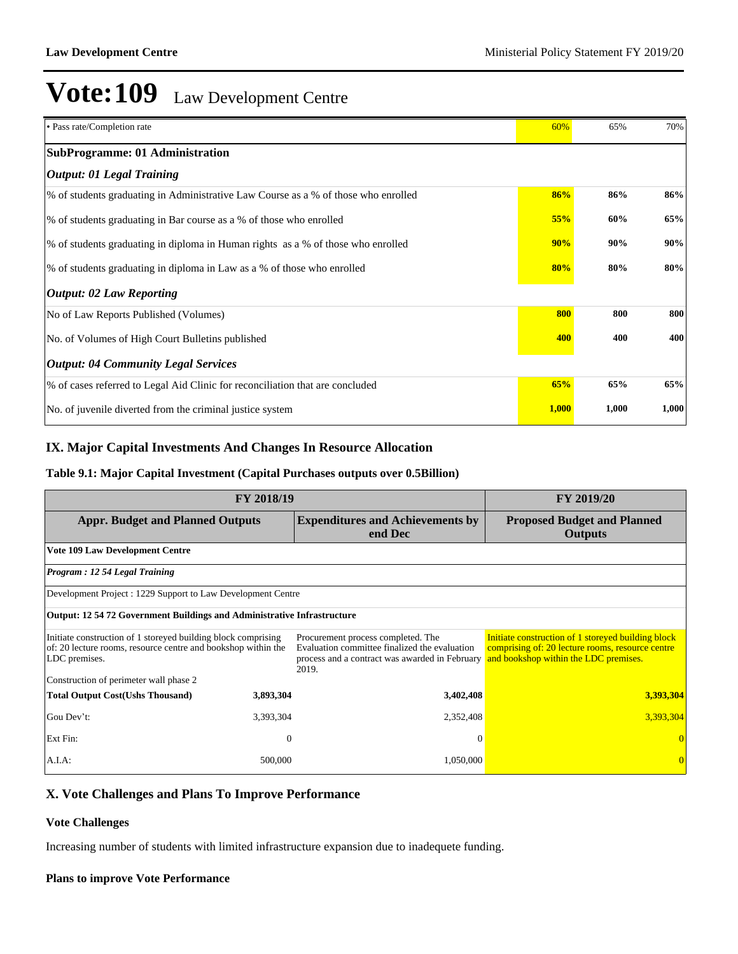| • Pass rate/Completion rate                                                        | 60%   | 65%   | 70%   |
|------------------------------------------------------------------------------------|-------|-------|-------|
| <b>SubProgramme: 01 Administration</b>                                             |       |       |       |
| <i><b>Output: 01 Legal Training</b></i>                                            |       |       |       |
| % of students graduating in Administrative Law Course as a % of those who enrolled | 86%   | 86%   | 86%   |
| % of students graduating in Bar course as a % of those who enrolled                | 55%   | 60%   | 65%   |
| % of students graduating in diploma in Human rights as a % of those who enrolled   | 90%   | 90%   | 90%   |
| % of students graduating in diploma in Law as a % of those who enrolled            | 80%   | 80%   | 80%   |
| <b>Output: 02 Law Reporting</b>                                                    |       |       |       |
| No of Law Reports Published (Volumes)                                              | 800   | 800   | 800   |
| No. of Volumes of High Court Bulletins published                                   | 400   | 400   | 400   |
| <b>Output: 04 Community Legal Services</b>                                         |       |       |       |
| % of cases referred to Legal Aid Clinic for reconciliation that are concluded      | 65%   | 65%   | 65%   |
| No. of juvenile diverted from the criminal justice system                          | 1,000 | 1,000 | 1,000 |

### **IX. Major Capital Investments And Changes In Resource Allocation**

### **Table 9.1: Major Capital Investment (Capital Purchases outputs over 0.5Billion)**

| FY 2018/19                                                                                                                                      | <b>FY 2019/20</b> |                                                                                                                                                |                                                                                                                                                 |  |
|-------------------------------------------------------------------------------------------------------------------------------------------------|-------------------|------------------------------------------------------------------------------------------------------------------------------------------------|-------------------------------------------------------------------------------------------------------------------------------------------------|--|
| <b>Appr. Budget and Planned Outputs</b>                                                                                                         |                   | <b>Expenditures and Achievements by</b><br>end Dec                                                                                             | <b>Proposed Budget and Planned</b><br><b>Outputs</b>                                                                                            |  |
| <b>Vote 109 Law Development Centre</b>                                                                                                          |                   |                                                                                                                                                |                                                                                                                                                 |  |
| Program: 12 54 Legal Training                                                                                                                   |                   |                                                                                                                                                |                                                                                                                                                 |  |
| Development Project : 1229 Support to Law Development Centre                                                                                    |                   |                                                                                                                                                |                                                                                                                                                 |  |
| <b>Output: 12 54 72 Government Buildings and Administrative Infrastructure</b>                                                                  |                   |                                                                                                                                                |                                                                                                                                                 |  |
| Initiate construction of 1 storeyed building block comprising<br>of: 20 lecture rooms, resource centre and bookshop within the<br>LDC premises. |                   | Procurement process completed. The<br>Evaluation committee finalized the evaluation<br>process and a contract was awarded in February<br>2019. | Initiate construction of 1 storeyed building block<br>comprising of: 20 lecture rooms, resource centre<br>and bookshop within the LDC premises. |  |
| Construction of perimeter wall phase 2                                                                                                          |                   |                                                                                                                                                |                                                                                                                                                 |  |
| <b>Total Output Cost(Ushs Thousand)</b>                                                                                                         | 3,893,304         | 3,402,408                                                                                                                                      | 3,393,304                                                                                                                                       |  |
| Gou Dev't:                                                                                                                                      | 3,393,304         | 2,352,408                                                                                                                                      | 3,393,304                                                                                                                                       |  |
| Ext Fin:                                                                                                                                        | $\theta$          | $\Omega$                                                                                                                                       |                                                                                                                                                 |  |
| A.I.A:                                                                                                                                          | 500,000           | 1,050,000                                                                                                                                      |                                                                                                                                                 |  |

### **X. Vote Challenges and Plans To Improve Performance**

### **Vote Challenges**

Increasing number of students with limited infrastructure expansion due to inadequete funding.

#### **Plans to improve Vote Performance**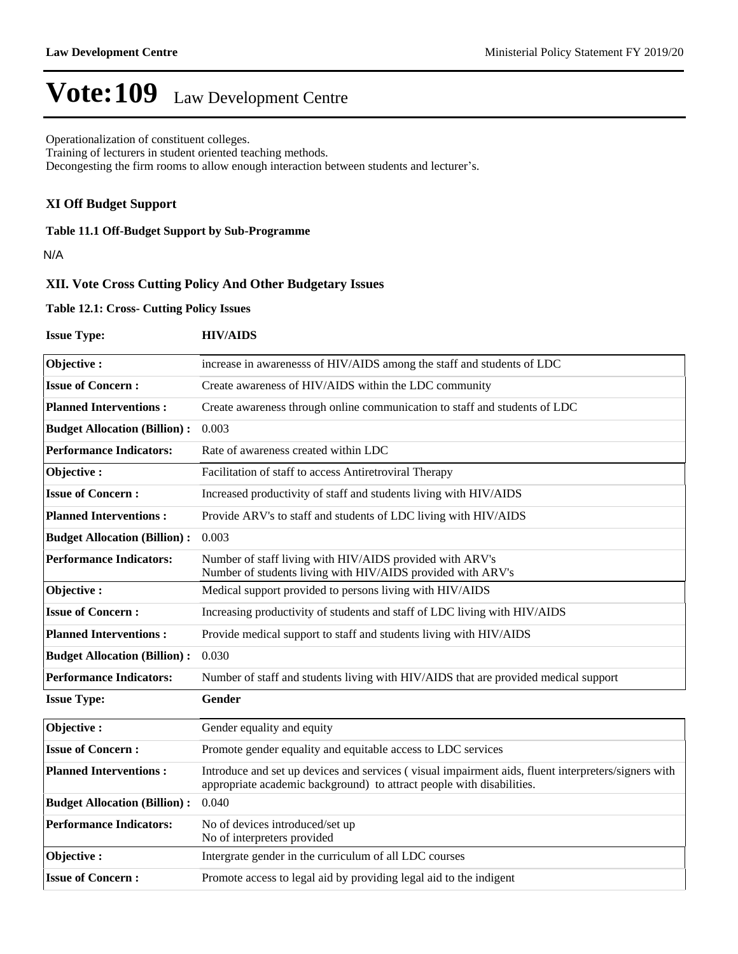Operationalization of constituent colleges.

Training of lecturers in student oriented teaching methods.

Decongesting the firm rooms to allow enough interaction between students and lecturer's.

### **XI Off Budget Support**

**Table 11.1 Off-Budget Support by Sub-Programme**

N/A

### **XII. Vote Cross Cutting Policy And Other Budgetary Issues**

#### **Table 12.1: Cross- Cutting Policy Issues**

| <b>Issue Type:</b>                  | <b>HIV/AIDS</b>                                                                                                                                                              |
|-------------------------------------|------------------------------------------------------------------------------------------------------------------------------------------------------------------------------|
| Objective:                          | increase in awarenesss of HIV/AIDS among the staff and students of LDC                                                                                                       |
| <b>Issue of Concern:</b>            | Create awareness of HIV/AIDS within the LDC community                                                                                                                        |
| <b>Planned Interventions:</b>       | Create awareness through online communication to staff and students of LDC                                                                                                   |
| <b>Budget Allocation (Billion):</b> | 0.003                                                                                                                                                                        |
| <b>Performance Indicators:</b>      | Rate of awareness created within LDC                                                                                                                                         |
| Objective:                          | Facilitation of staff to access Antiretroviral Therapy                                                                                                                       |
| <b>Issue of Concern:</b>            | Increased productivity of staff and students living with HIV/AIDS                                                                                                            |
| <b>Planned Interventions:</b>       | Provide ARV's to staff and students of LDC living with HIV/AIDS                                                                                                              |
| <b>Budget Allocation (Billion):</b> | 0.003                                                                                                                                                                        |
| <b>Performance Indicators:</b>      | Number of staff living with HIV/AIDS provided with ARV's<br>Number of students living with HIV/AIDS provided with ARV's                                                      |
| Objective:                          | Medical support provided to persons living with HIV/AIDS                                                                                                                     |
| <b>Issue of Concern:</b>            | Increasing productivity of students and staff of LDC living with HIV/AIDS                                                                                                    |
| <b>Planned Interventions:</b>       | Provide medical support to staff and students living with HIV/AIDS                                                                                                           |
| <b>Budget Allocation (Billion):</b> | 0.030                                                                                                                                                                        |
| <b>Performance Indicators:</b>      | Number of staff and students living with HIV/AIDS that are provided medical support                                                                                          |
| <b>Issue Type:</b>                  | Gender                                                                                                                                                                       |
| Objective:                          | Gender equality and equity                                                                                                                                                   |
| <b>Issue of Concern:</b>            | Promote gender equality and equitable access to LDC services                                                                                                                 |
| <b>Planned Interventions:</b>       | Introduce and set up devices and services (visual impairment aids, fluent interpreters/signers with<br>appropriate academic background) to attract people with disabilities. |
| <b>Budget Allocation (Billion):</b> | 0.040                                                                                                                                                                        |
| <b>Performance Indicators:</b>      | No of devices introduced/set up<br>No of interpreters provided                                                                                                               |
| Objective:                          | Intergrate gender in the curriculum of all LDC courses                                                                                                                       |
| <b>Issue of Concern:</b>            | Promote access to legal aid by providing legal aid to the indigent                                                                                                           |